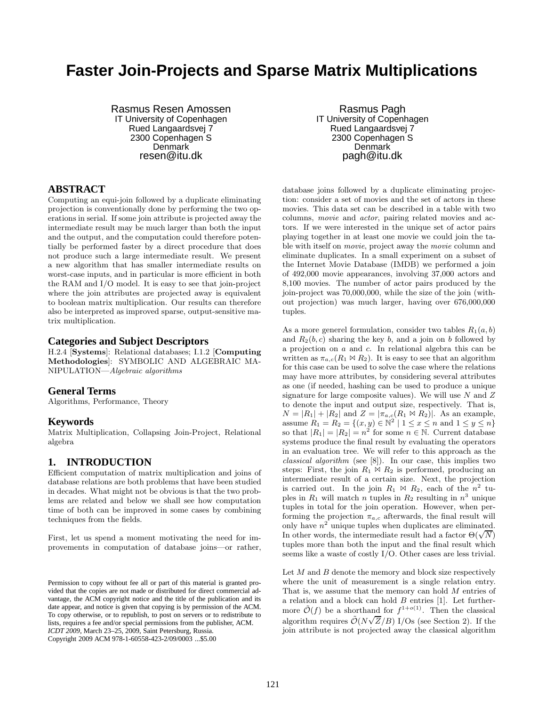# **Faster Join-Projects and Sparse Matrix Multiplications**

Rasmus Resen Amossen IT University of Copenhagen Rued Langaardsvej 7 2300 Copenhagen S Denmark resen@itu.dk

## **ABSTRACT**

Computing an equi-join followed by a duplicate eliminating projection is conventionally done by performing the two operations in serial. If some join attribute is projected away the intermediate result may be much larger than both the input and the output, and the computation could therefore potentially be performed faster by a direct procedure that does not produce such a large intermediate result. We present a new algorithm that has smaller intermediate results on worst-case inputs, and in particular is more efficient in both the RAM and I/O model. It is easy to see that join-project where the join attributes are projected away is equivalent to boolean matrix multiplication. Our results can therefore also be interpreted as improved sparse, output-sensitive matrix multiplication.

#### **Categories and Subject Descriptors**

H.2.4 [Systems]: Relational databases; I.1.2 [Computing Methodologies]: SYMBOLIC AND ALGEBRAIC MA-NIPULATION—*Algebraic algorithms*

## **General Terms**

Algorithms, Performance, Theory

#### **Keywords**

Matrix Multiplication, Collapsing Join-Project, Relational algebra

## **1. INTRODUCTION**

Efficient computation of matrix multiplication and joins of database relations are both problems that have been studied in decades. What might not be obvious is that the two problems are related and below we shall see how computation time of both can be improved in some cases by combining techniques from the fields.

First, let us spend a moment motivating the need for improvements in computation of database joins—or rather,

Rasmus Pagh IT University of Copenhagen Rued Langaardsvej 7 2300 Copenhagen S Denmark pagh@itu.dk

database joins followed by a duplicate eliminating projection: consider a set of movies and the set of actors in these movies. This data set can be described in a table with two columns, *movie* and *actor*, pairing related movies and actors. If we were interested in the unique set of actor pairs playing together in at least one movie we could join the table with itself on *movie*, project away the *movie* column and eliminate duplicates. In a small experiment on a subset of the Internet Movie Database (IMDB) we performed a join of 492,000 movie appearances, involving 37,000 actors and 8,100 movies. The number of actor pairs produced by the join-project was 70,000,000, while the size of the join (without projection) was much larger, having over 676,000,000 tuples.

As a more generel formulation, consider two tables  $R_1(a, b)$ and  $R_2(b, c)$  sharing the key b, and a join on b followed by a projection on a and c. In relational algebra this can be written as  $\pi_{a,c}(R_1 \bowtie R_2)$ . It is easy to see that an algorithm for this case can be used to solve the case where the relations may have more attributes, by considering several attributes as one (if needed, hashing can be used to produce a unique signature for large composite values). We will use  $N$  and  $Z$ to denote the input and output size, respectively. That is,  $N = |R_1| + |R_2|$  and  $Z = |\pi_{a,c}(R_1 \bowtie R_2)|$ . As an example, assume  $R_1 = R_2 = \{(x, y) \in \mathbb{N}^2 \mid 1 \le x \le n \text{ and } 1 \le y \le n\}$ so that  $|R_1| = |R_2| = n^2$  for some  $n \in \mathbb{N}$ . Current database systems produce the final result by evaluating the operators in an evaluation tree. We will refer to this approach as the *classical algorithm* (see [8]). In our case, this implies two steps: First, the join  $R_1 \bowtie R_2$  is performed, producing an intermediate result of a certain size. Next, the projection is carried out. In the join  $R_1 \bowtie R_2$ , each of the  $n^2$  tuples in  $R_1$  will match n tuples in  $R_2$  resulting in  $n^3$  unique tuples in total for the join operation. However, when performing the projection  $\pi_{a,c}$  afterwards, the final result will only have  $n^2$  unique tuples when duplicates are eliminated. In other words, the intermediate result had a factor  $\Theta(\sqrt{N})$ tuples more than both the input and the final result which seems like a waste of costly I/O. Other cases are less trivial.

Let  $M$  and  $B$  denote the memory and block size respectively where the unit of measurement is a single relation entry. That is, we assume that the memory can hold M entries of a relation and a block can hold B entries [1]. Let furthermore  $\tilde{\mathcal{O}}(f)$  be a shorthand for  $f^{1+o(1)}$ . Then the classical algorithm requires  $\mathcal{O}(N\sqrt{Z}/B)$  I/Os (see Section 2). If the join attribute is not projected away the classical algorithm

Permission to copy without fee all or part of this material is granted provided that the copies are not made or distributed for direct commercial advantage, the ACM copyright notice and the title of the publication and its date appear, and notice is given that copying is by permission of the ACM. To copy otherwise, or to republish, to post on servers or to redistribute to lists, requires a fee and/or special permissions from the publisher, ACM. *ICDT 2009*, March 23–25, 2009, Saint Petersburg, Russia. Copyright 2009 ACM 978-1-60558-423-2/09/0003 ...\$5.00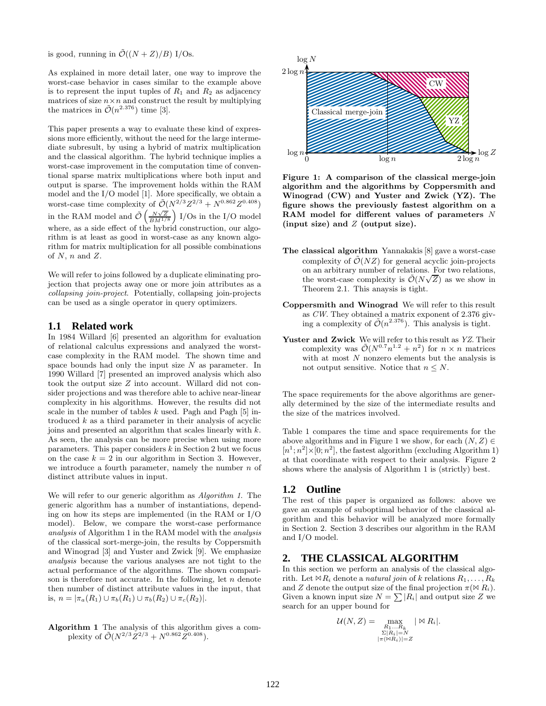is good, running in  $\tilde{\mathcal{O}}((N+Z)/B)$  I/Os.

As explained in more detail later, one way to improve the worst-case behavior in cases similar to the example above is to represent the input tuples of  $R_1$  and  $R_2$  as adjacency matrices of size  $n \times n$  and construct the result by multiplying the matrices in  $\tilde{\mathcal{O}}(n^{2.376})$  time [3].

This paper presents a way to evaluate these kind of expressions more efficiently, without the need for the large intermediate subresult, by using a hybrid of matrix multiplication and the classical algorithm. The hybrid technique implies a worst-case improvement in the computation time of conventional sparse matrix multiplications where both input and output is sparse. The improvement holds within the RAM model and the  $\rm I/O$  model [1]. More specifically, we obtain a worst-case time complexity of  $\tilde{\mathcal{O}}(N^{2/3}Z^{2/3}+N^{0.862}Z^{0.408})$ in the RAM model and  $\tilde{\mathcal{O}}\left(\frac{N\sqrt{Z}}{BM^{1/8}}\right)$  I/Os in the I/O model where, as a side effect of the hybrid construction, our algorithm is at least as good in worst-case as any known algorithm for matrix multiplication for all possible combinations of  $N$ ,  $n$  and  $Z$ .

We will refer to joins followed by a duplicate eliminating projection that projects away one or more join attributes as a *collapsing join-project*. Potentially, collapsing join-projects can be used as a single operator in query optimizers.

## **1.1 Related work**

In 1984 Willard [6] presented an algorithm for evaluation of relational calculus expressions and analyzed the worstcase complexity in the RAM model. The shown time and space bounds had only the input size  $N$  as parameter. In 1990 Willard [7] presented an improved analysis which also took the output size Z into account. Willard did not consider projections and was therefore able to achive near-linear complexity in his algorithms. However, the results did not scale in the number of tables  $k$  used. Pagh and Pagh  $[5]$  introduced  $k$  as a third parameter in their analysis of acyclic joins and presented an algorithm that scales linearly with  $k$ . As seen, the analysis can be more precise when using more parameters. This paper considers  $k$  in Section 2 but we focus on the case  $k = 2$  in our algorithm in Section 3. However, we introduce a fourth parameter, namely the number  $n$  of distinct attribute values in input.

We will refer to our generic algorithm as *Algorithm 1*. The generic algorithm has a number of instantiations, depending on how its steps are implemented (in the RAM or I/O model). Below, we compare the worst-case performance *analysis* of Algorithm 1 in the RAM model with the *analysis* of the classical sort-merge-join, the results by Coppersmith and Winograd [3] and Yuster and Zwick [9]. We emphasize *analysis* because the various analyses are not tight to the actual performance of the algorithms. The shown comparison is therefore not accurate. In the following, let  $n$  denote then number of distinct attribute values in the input, that is,  $n = |\pi_a(R_1) \cup \pi_b(R_1) \cup \pi_b(R_2) \cup \pi_c(R_2)|$ .





Figure 1: A comparison of the classical merge-join algorithm and the algorithms by Coppersmith and Winograd (CW) and Yuster and Zwick (YZ). The figure shows the previously fastest algorithm on a RAM model for different values of parameters N (input size) and  $Z$  (output size).

- The classical algorithm Yannakakis [8] gave a worst-case complexity of  $\mathcal{O}(NZ)$  for general acyclic join-projects on an arbitrary number of relations. For two relations, of an arbitrary namber of relations. For two relations,<br>the worst-case complexity is  $\tilde{\mathcal{O}}(N\sqrt{Z})$  as we show in Theorem 2.1. This anaysis is tight.
- Coppersmith and Winograd We will refer to this result as *CW*. They obtained a matrix exponent of 2.376 giving a complexity of  $\tilde{\mathcal{O}}(n^{2.376})$ . This analysis is tight.
- Yuster and Zwick We will refer to this result as *YZ*. Their complexity was  $\tilde{\mathcal{O}}(N^{0.7}n^{1.2}+n^2)$  for  $n \times n$  matrices with at most  $N$  nonzero elements but the analysis is not output sensitive. Notice that  $n \leq N$ .

The space requirements for the above algorithms are generally determined by the size of the intermediate results and the size of the matrices involved.

Table 1 compares the time and space requirements for the above algorithms and in Figure 1 we show, for each  $(N, Z) \in$  $[n^1; n^2] \times [0; n^2]$ , the fastest algorithm (excluding Algorithm 1) at that coordinate with respect to their analysis. Figure 2 shows where the analysis of Algorithm 1 is (strictly) best.

## **1.2 Outline**

The rest of this paper is organized as follows: above we gave an example of suboptimal behavior of the classical algorithm and this behavior will be analyzed more formally in Section 2. Section 3 describes our algorithm in the RAM and I/O model.

# **2. THE CLASSICAL ALGORITHM**

In this section we perform an analysis of the classical algorith. Let  $\forall R_i$  denote a *natural join* of k relations  $R_1, \ldots, R_k$ and Z denote the output size of the final projection  $\pi(\mathbb{A} R_i)$ . Given a known input size  $N = \sum |R_i|$  and output size Z we search for an upper bound for

$$
\mathcal{U}(N,Z) = \max_{\substack{R_1...R_k \\ \Sigma|R_i|=N \\ |\pi(\bowtie R_i)|=Z}} |\bowtie R_i|.
$$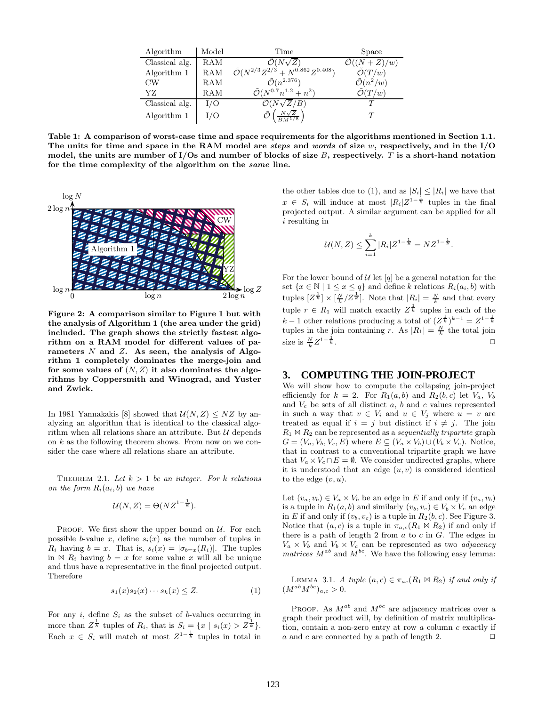| Algorithm      | Model      | Time                                                     | Space                        |
|----------------|------------|----------------------------------------------------------|------------------------------|
| Classical alg. | <b>RAM</b> | $\mathcal{O}(N\sqrt{Z})$                                 | $\mathcal{O}((N+Z)/w)$       |
| Algorithm 1    | RAM        | $\tilde{\mathcal{O}}(N^{2/3}Z^{2/3}+N^{0.862}Z^{0.408})$ | $\tilde{\mathcal{O}}(T/w)$   |
| $_{\text{CW}}$ | RAM        | $\tilde{\mathcal{O}}(n^{2.376})$                         | $\tilde{\mathcal{O}}(n^2/w)$ |
| YZ.            | RAM        | $\tilde{\mathcal{O}}(N^{0.7}n^{1.2}+n^2)$                | $\tilde{\mathcal{O}}(T/w)$   |
| Classical alg. | I/O        | $\mathcal{O}(N\sqrt{Z}/B)$                               |                              |
| Algorithm 1    | I/O        | $N\sqrt{Z}$                                              | $\tau$                       |

Table 1: A comparison of worst-case time and space requirements for the algorithms mentioned in Section 1.1. The units for time and space in the RAM model are *steps* and *words* of size  $w$ , respectively, and in the I/O model, the units are number of  $I/Os$  and number of blocks of size B, respectively. T is a short-hand notation for the time complexity of the algorithm on the same line.



Figure 2: A comparison similar to Figure 1 but with the analysis of Algorithm 1 (the area under the grid) included. The graph shows the strictly fastest algorithm on a RAM model for different values of parameters  $N$  and  $Z$ . As seen, the analysis of Algorithm 1 completely dominates the merge-join and for some values of  $(N, Z)$  it also dominates the algorithms by Coppersmith and Winograd, and Yuster and Zwick.

In 1981 Yannakakis [8] showed that  $\mathcal{U}(N, Z) \leq NZ$  by analyzing an algorithm that is identical to the classical algorithm when all relations share an attribute. But  $U$  depends on  $k$  as the following theorem shows. From now on we consider the case where all relations share an attribute.

THEOREM 2.1. Let  $k > 1$  be an integer. For k relations *on the form*  $R_i(a_i, b)$  *we have* 

$$
\mathcal{U}(N,Z) = \Theta(NZ^{1-\frac{1}{k}}).
$$

PROOF. We first show the upper bound on  $\mathcal{U}$ . For each possible b-value x, define  $s_i(x)$  as the number of tuples in  $R_i$  having  $b = x$ . That is,  $s_i(x) = |\sigma_{b=x}(R_i)|$ . The tuples in  $\mathbb{A}$  R<sub>i</sub> having  $b = x$  for some value x will all be unique and thus have a representative in the final projected output. Therefore

$$
s_1(x)s_2(x)\cdots s_k(x) \le Z. \tag{1}
$$

For any  $i$ , define  $S_i$  as the subset of b-values occurring in more than  $Z^{\frac{1}{k}}$  tuples of  $R_i$ , that is  $S_i = \{x \mid s_i(x) > Z^{\frac{1}{k}}\}.$ Each  $x \in S_i$  will match at most  $Z^{1-\frac{1}{k}}$  tuples in total in

the other tables due to (1), and as  $|S_i| \leq |R_i|$  we have that  $x \in S_i$  will induce at most  $|R_i|Z^{1-\frac{1}{k}}$  tuples in the final projected output. A similar argument can be applied for all i resulting in

$$
\mathcal{U}(N,Z) \le \sum_{i=1}^{k} |R_i| Z^{1-\frac{1}{k}} = N Z^{1-\frac{1}{k}}.
$$

For the lower bound of  $U$  let  $[q]$  be a general notation for the set  $\{x \in \mathbb{N} \mid 1 \leq x \leq q\}$  and define k relations  $R_i(a_i, b)$  with tuples  $[Z^{\frac{1}{k}}] \times [\frac{N}{k} / Z^{\frac{1}{k}}]$ . Note that  $|R_i| = \frac{N}{k}$  and that every tuple  $r \in R_1$  will match exactly  $Z^{\frac{1}{k}}$  tuples in each of the  $k-1$  other relations producing a total of  $(Z_k^{\frac{1}{k}})^{k-1} = Z^{1-\frac{1}{k}}$ tuples in the join containing r. As  $|R_1| = \frac{N}{k}$  the total join size is  $\frac{N}{k}Z^{1-\frac{1}{k}}$  $\frac{1}{k}$ .

# **3. COMPUTING THE JOIN-PROJECT**

We will show how to compute the collapsing join-project efficiently for  $k = 2$ . For  $R_1(a, b)$  and  $R_2(b, c)$  let  $V_a$ ,  $V_b$ and  $V_c$  be sets of all distinct a, b and c values represented in such a way that  $v \in V_i$  and  $u \in V_j$  where  $u = v$  are treated as equal if  $i = j$  but distinct if  $i \neq j$ . The join  $R_1 \bowtie R_2$  can be represented as a *sequentially tripartite* graph  $G = (V_a, V_b, V_c, E)$  where  $E \subseteq (V_a \times V_b) \cup (V_b \times V_c)$ . Notice, that in contrast to a conventional tripartite graph we have that  $V_a \times V_c \cap E = \emptyset$ . We consider undirected graphs, where it is understood that an edge  $(u, v)$  is considered identical to the edge  $(v, u)$ .

Let  $(v_a, v_b) \in V_a \times V_b$  be an edge in E if and only if  $(v_a, v_b)$ is a tuple in  $R_1(a, b)$  and similarly  $(v_b, v_c) \in V_b \times V_c$  an edge in E if and only if  $(v_b, v_c)$  is a tuple in  $R_2(b, c)$ . See Figure 3. Notice that  $(a, c)$  is a tuple in  $\pi_{a, c}(R_1 \bowtie R_2)$  if and only if there is a path of length 2 from  $a$  to  $c$  in  $G$ . The edges in  $V_a \times V_b$  and  $V_b \times V_c$  can be represented as two *adjacency* matrices  $M^{ab}$  and  $M^{bc}$ . We have the following easy lemma:

LEMMA 3.1. *A tuple*  $(a, c) \in \pi_{ac}(R_1 \bowtie R_2)$  *if and only if*  $(M^{ab}M^{bc})_{a,c} > 0.$ 

PROOF. As  $M^{ab}$  and  $M^{bc}$  are adjacency matrices over a graph their product will, by definition of matrix multiplication, contain a non-zero entry at row  $a$  column  $c$  exactly if a and c are connected by a path of length 2.  $\Box$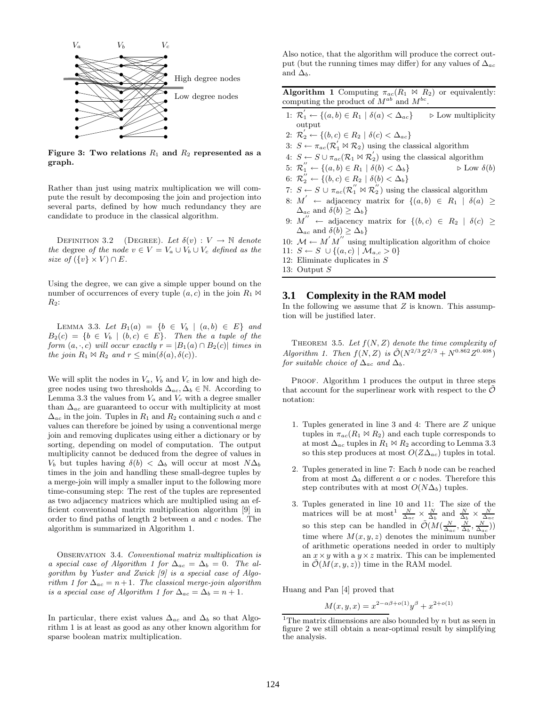

Figure 3: Two relations  $R_1$  and  $R_2$  represented as a graph.

Rather than just using matrix multiplication we will compute the result by decomposing the join and projection into several parts, defined by how much redundancy they are candidate to produce in the classical algorithm.

DEFINITION 3.2 (DEGREE). Let  $\delta(v) : V \to \mathbb{N}$  denote *the* degree *of the node*  $v \in V = V_a \cup V_b \cup V_c$  *defined as the size of*  $({v} \times V) \cap E$ *.* 

Using the degree, we can give a simple upper bound on the number of occurrences of every tuple  $(a, c)$  in the join  $R_1 \bowtie$  $R_2$ :

LEMMA 3.3. Let  $B_1(a) = \{b \in V_b \mid (a, b) \in E\}$  and  $B_2(c) = \{b \in V_b \mid (b, c) \in E\}$ . Then the a tuple of the *form*  $(a, \cdot, c)$  *will occur exactly*  $r = |B_1(a) \cap B_2(c)|$  *times in the join*  $R_1 \bowtie R_2$  *and*  $r \leq \min(\delta(a), \delta(c))$ *.* 

We will split the nodes in  $V_a$ ,  $V_b$  and  $V_c$  in low and high degree nodes using two thresholds  $\Delta_{ac}, \Delta_b \in \mathbb{N}$ . According to Lemma 3.3 the values from  $V_a$  and  $V_c$  with a degree smaller than  $\Delta_{ac}$  are guaranteed to occur with multiplicity at most  $\Delta_{ac}$  in the join. Tuples in  $R_1$  and  $R_2$  containing such a and c values can therefore be joined by using a conventional merge join and removing duplicates using either a dictionary or by sorting, depending on model of computation. The output multiplicity cannot be deduced from the degree of values in V<sub>b</sub> but tuples having  $\delta(b) < \Delta_b$  will occur at most  $N\Delta_b$ times in the join and handling these small-degree tuples by a merge-join will imply a smaller input to the following more time-consuming step: The rest of the tuples are represented as two adjacency matrices which are multiplied using an efficient conventional matrix multiplication algorithm [9] in order to find paths of length 2 between a and c nodes. The algorithm is summarized in Algorithm 1.

Observation 3.4. *Conventional matrix multiplication is a special case of Algorithm 1 for*  $\Delta_{ac} = \Delta_b = 0$ . The al*gorithm by Yuster and Zwick [9] is a special case of Algorithm 1 for*  $\Delta_{ac} = n + 1$ *. The classical merge-join algorithm is a special case of Algorithm 1 for*  $\Delta_{ac} = \Delta_b = n + 1$ .

In particular, there exist values  $\Delta_{ac}$  and  $\Delta_b$  so that Algorithm 1 is at least as good as any other known algorithm for sparse boolean matrix multiplication.

Also notice, that the algorithm will produce the correct output (but the running times may differ) for any values of  $\Delta_{ac}$ and  $\Delta_b$ .

**Algorithm 1** Computing  $\pi_{ac}(R_1 \Join R_2)$  or equivalently: computing the product of  $M^{ab}$  and  $M^{bc}$ .

- 1:  $\mathcal{R}'_1 \leftarrow \{(a, b) \in R_1 \mid \delta(a) < \Delta_{ac}\}$  > Low multiplicity output
- 2:  $\mathcal{R}_2' \leftarrow \{(b, c) \in R_2 \mid \delta(c) < \Delta_{ac}\}$
- 3:  $S \leftarrow \pi_{ac}(\mathcal{R}_1' \bowtie \mathcal{R}_2)$  using the classical algorithm
- 4:  $S \leftarrow S \cup \pi_{ac}(\mathcal{R}_1 \bowtie \mathcal{R}_2')$  using the classical algorithm
- 5:  $\mathcal{R}_1'' \leftarrow \{(a, b) \in R_1 \mid \delta(b) < \Delta_b\}$   $\triangleright$  Low  $\delta(b)$
- 6:  $\mathcal{R}_2 \leftarrow \{(b, c) \in R_2 \mid \delta(b) < \Delta_b\}$
- 7:  $S \leftarrow S \cup \pi_{ac}(\mathcal{R}_1'' \bowtie \mathcal{R}_2'')$  using the classical algorithm
- 8:  $M'$  ← adjacency matrix for  $\{(a, b) \in R_1 \mid \delta(a) \geq$  $\Delta_{ac}$  and  $\delta(b) \geq \Delta_b$ }
- 9:  $M''$  ← adjacency matrix for  $\{(b,c) \in R_2 \mid \delta(c) \geq$  $\Delta_{ac}$  and  $\delta(b) \geq \Delta_b$ }
- 10:  $M \leftarrow M'M''$  using multiplication algorithm of choice
- 11:  $S \leftarrow S \cup \{(a, c) | \mathcal{M}_{a, c} > 0\}$
- 12: Eliminate duplicates in S
- 13: Output S

#### **3.1 Complexity in the RAM model**

In the following we assume that  $Z$  is known. This assumption will be justified later.

THEOREM 3.5. Let  $f(N, Z)$  denote the time complexity of *Algorithm 1. Then*  $f(N, Z)$  *is*  $\tilde{\mathcal{O}}(N^{2/3}Z^{2/3} + N^{0.862}Z^{0.408})$ *for suitable choice of*  $\Delta_{ac}$  *and*  $\Delta_{b}$ *.* 

PROOF. Algorithm 1 produces the output in three steps that account for the superlinear work with respect to the  $\mathcal O$ notation:

- 1. Tuples generated in line 3 and 4: There are Z unique tuples in  $\pi_{ac}(R_1 \bowtie R_2)$  and each tuple corresponds to at most  $\Delta_{ac}$  tuples in  $R_1 \bowtie R_2$  according to Lemma 3.3 so this step produces at most  $O(Z\Delta_{ac})$  tuples in total.
- 2. Tuples generated in line 7: Each b node can be reached from at most  $\Delta_b$  different a or c nodes. Therefore this step contributes with at most  $O(N\Delta_b)$  tuples.
- 3. Tuples generated in line 10 and 11: The size of the matrices will be at most<sup>1</sup>  $\frac{N}{\Delta_{ac}} \times \frac{N}{\Delta_b}$  and  $\frac{N}{\Delta_b} \times \frac{N}{\Delta_{ac}}$ <br>so this step can be handled in  $\mathcal{O}(M(\frac{N}{\Delta_{ac}}, \frac{N}{\Delta_b}, \frac{N}{\Delta_{ac}}))$ time where  $M(x, y, z)$  denotes the minimum number of arithmetic operations needed in order to multiply an  $x \times y$  with a  $y \times z$  matrix. This can be implemented in  $\mathcal{O}(M(x, y, z))$  time in the RAM model.

Huang and Pan [4] proved that

 $M(x, y, x) = x^{2-\alpha\beta + o(1)}y^{\beta} + x^{2+o(1)}$ 

<sup>&</sup>lt;sup>1</sup>The matrix dimensions are also bounded by  $n$  but as seen in figure 2 we still obtain a near-optimal result by simplifying the analysis.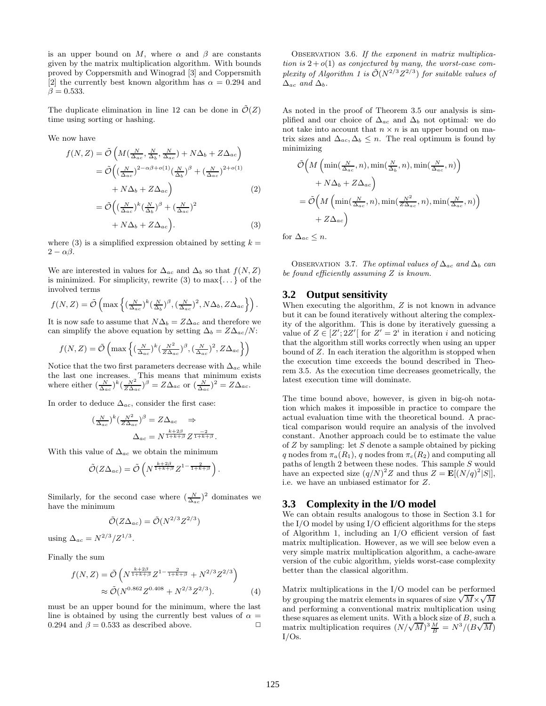is an upper bound on M, where  $\alpha$  and  $\beta$  are constants given by the matrix multiplication algorithm. With bounds proved by Coppersmith and Winograd [3] and Coppersmith [2] the currently best known algorithm has  $\alpha = 0.294$  and  $\beta = 0.533$ .

The duplicate elimination in line 12 can be done in  $\mathcal{O}(Z)$ time using sorting or hashing.

We now have

$$
f(N, Z) = \tilde{\mathcal{O}}\left(M\left(\frac{N}{\Delta_{ac}}, \frac{N}{\Delta_b}, \frac{N}{\Delta_{ac}}\right) + N\Delta_b + Z\Delta_{ac}\right)
$$
  
\n
$$
= \tilde{\mathcal{O}}\left(\left(\frac{N}{\Delta_{ac}}\right)^{2-\alpha\beta+o(1)}\left(\frac{N}{\Delta_b}\right)^{\beta} + \left(\frac{N}{\Delta_{ac}}\right)^{2+o(1)}
$$
  
\n
$$
+ N\Delta_b + Z\Delta_{ac}\right)
$$
  
\n
$$
= \tilde{\mathcal{O}}\left(\left(\frac{N}{\Delta_{ac}}\right)^k \left(\frac{N}{\Delta_b}\right)^{\beta} + \left(\frac{N}{\Delta_{ac}}\right)^2
$$
  
\n
$$
+ N\Delta_b + Z\Delta_{ac}\right).
$$
 (3)

where (3) is a simplified expression obtained by setting  $k =$  $2 - \alpha \beta$ .

We are interested in values for  $\Delta_{ac}$  and  $\Delta_b$  so that  $f(N, Z)$ is minimized. For simplicity, rewrite  $(3)$  to  $\max\{\ldots\}$  of the involved terms

$$
f(N,Z) = \tilde{\mathcal{O}}\left(\max\left\{ \left(\frac{N}{\Delta_{ac}}\right)^k \left(\frac{N}{\Delta_b}\right)^{\beta}, \left(\frac{N}{\Delta_{ac}}\right)^2, N\Delta_b, Z\Delta_{ac} \right\} \right).
$$

It is now safe to assume that  $N\Delta_b = Z\Delta_{ac}$  and therefore we can simplify the above equation by setting  $\Delta_b = Z\Delta_{ac}/N$ :

$$
f(N, Z) = \tilde{\mathcal{O}}\left(\max\left\{ \left(\frac{N}{\Delta_{ac}}\right)^k \left(\frac{N^2}{Z\Delta_{ac}}\right)^{\beta}, \left(\frac{N}{\Delta_{ac}}\right)^2, Z\Delta_{ac} \right\} \right)
$$

Notice that the two first parameters decrease with  $\Delta_{ac}$  while the last one increases. This means that minimum exists where either  $\left(\frac{N}{\Delta_{ac}}\right)^k \left(\frac{N^2}{Z\Delta_{ac}}\right)^{\beta} = Z\Delta_{ac}$  or  $\left(\frac{N}{\Delta_{ac}}\right)^2 = Z\Delta_{ac}$ .

In order to deduce  $\Delta_{ac}$ , consider the first case:

$$
\left(\frac{N}{\Delta_{ac}}\right)^k \left(\frac{N^2}{Z\Delta_{ac}}\right)^{\beta} = Z\Delta_{ac} \implies
$$

$$
\Delta_{ac} = N^{\frac{k+2\beta}{1+k+\beta}} Z^{\frac{-2}{1+k+\beta}}.
$$

With this value of  $\Delta_{ac}$  we obtain the minimum

$$
\tilde{\mathcal{O}}(Z\Delta_{ac}) = \tilde{\mathcal{O}}\left(N^{\frac{k+2\beta}{1+k+\beta}}Z^{1-\frac{2}{1+k+\beta}}\right).
$$

Similarly, for the second case where  $(\frac{N}{\Delta_{ac}})^2$  dominates we have the minimum

$$
\tilde{\mathcal{O}}(Z\Delta_{ac}) = \tilde{\mathcal{O}}(N^{2/3}Z^{2/3})
$$

using  $\Delta_{ac} = N^{2/3} / Z^{1/3}$ .

Finally the sum

$$
f(N, Z) = \tilde{\mathcal{O}}\left(N^{\frac{k+2\beta}{1+k+\beta}} Z^{1-\frac{2}{1+k+\beta}} + N^{2/3} Z^{2/3}\right) \approx \tilde{\mathcal{O}}(N^{0.862} Z^{0.408} + N^{2/3} Z^{2/3}). \tag{4}
$$

must be an upper bound for the minimum, where the last line is obtained by using the currently best values of  $\alpha =$ 0.294 and  $\beta = 0.533$  as described above.  $\Box$ 

Observation 3.6. *If the exponent in matrix multiplication is*  $2 + o(1)$  *as conjectured by many, the worst-case com*plexity of Algorithm 1 is  $\tilde{\mathcal{O}}(N^{2/3}Z^{2/3})$  for suitable values of  $\Delta_{ac}$  *and*  $\Delta_{b}$ .

As noted in the proof of Theorem 3.5 our analysis is simplified and our choice of  $\Delta_{ac}$  and  $\Delta_b$  not optimal: we do not take into account that  $n \times n$  is an upper bound on matrix sizes and  $\Delta_{ac}, \Delta_b \leq n$ . The real optimum is found by minimizing

$$
\tilde{\mathcal{O}}\Big(M\left(\min(\frac{N}{\Delta_{ac}},n),\min(\frac{N}{\Delta_b},n),\min(\frac{N}{\Delta_{ac}},n)\right) + N\Delta_b + Z\Delta_{ac}\Big) \n= \tilde{\mathcal{O}}\Big(M\left(\min(\frac{N}{\Delta_{ac}},n),\min(\frac{N^2}{Z\Delta_{ac}},n),\min(\frac{N}{\Delta_{ac}},n)\right) + Z\Delta_{ac}\Big)
$$

for  $\Delta_{ac} \leq n$ .

OBSERVATION 3.7. *The optimal values of*  $\Delta_{ac}$  *and*  $\Delta_{b}$  *can be found efficiently assuming* Z *is known.*

# **3.2 Output sensitivity**

When executing the algorithm,  $Z$  is not known in advance but it can be found iteratively without altering the complexity of the algorithm. This is done by iteratively guessing a value of  $Z \in [Z'; 2Z'$  [for  $Z' = 2<sup>i</sup>$  in iteration *i* and noticing that the algorithm still works correctly when using an upper bound of Z. In each iteration the algorithm is stopped when the execution time exceeds the bound described in Theorem 3.5. As the execution time decreases geometrically, the latest execution time will dominate.

The time bound above, however, is given in big-oh notation which makes it impossible in practice to compare the actual evaluation time with the theoretical bound. A practical comparison would require an analysis of the involved constant. Another approach could be to estimate the value of  $Z$  by sampling: let  $S$  denote a sample obtained by picking q nodes from  $\pi_a(R_1)$ , q nodes from  $\pi_c(R_2)$  and computing all paths of length 2 between these nodes. This sample S would have an expected size  $(q/N)^2 Z$  and thus  $Z = \mathbf{E}[(N/q)^2|S|]$ , i.e. we have an unbiased estimator for Z.

## **3.3 Complexity in the I/O model**

We can obtain results analogous to those in Section 3.1 for the I/O model by using I/O efficient algorithms for the steps of Algorithm 1, including an I/O efficient version of fast matrix multiplication. However, as we will see below even a very simple matrix multiplication algorithm, a cache-aware version of the cubic algorithm, yields worst-case complexity better than the classical algorithm.

Matrix multiplications in the I/O model can be performed by grouping the matrix elements in squares of size  $\sqrt{M} \times \sqrt{M}$ and performing a conventional matrix multiplication using these squares as element units. With a block size of  $B$ , such a matrix multiplication requires  $(N/\sqrt{M})^3 \frac{M}{B} = N^3/(B\sqrt{M})$ I/Os.